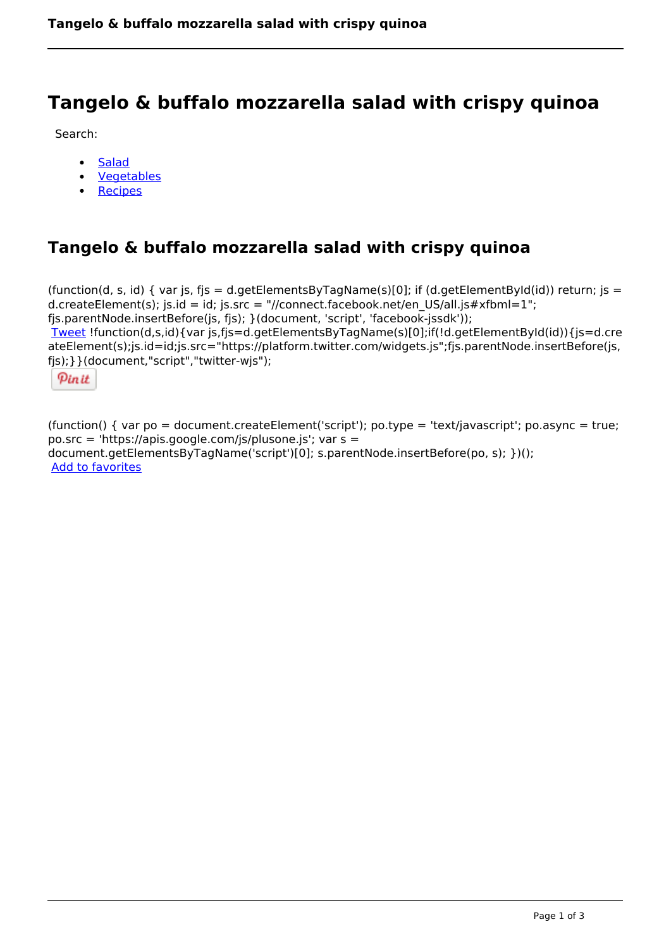# **Tangelo & buffalo mozzarella salad with crispy quinoa**

Search:

- **[Salad](https://www.naturalhealthmag.com.au/nourish/salads)**  $\bullet$
- [Vegetables](https://www.naturalhealthmag.com.au/nourish/veg)  $\bullet$
- **[Recipes](https://www.naturalhealthmag.com.au/nourish/recipes)**

# **Tangelo & buffalo mozzarella salad with crispy quinoa**

```
(function(d, s, id) { var js, fjs = d.getElementsByTagName(s)[0]; if (d.getElementById(id)) return; is =
d.createElement(s); js.id = id; js.src = "//connect.facebook.net/en_US/all.js#xfbml=1";
fjs.parentNode.insertBefore(js, fjs); }(document, 'script', 'facebook-jssdk')); 
Tweet !function(d,s,id){var js,fjs=d.getElementsByTagName(s)[0];if(!d.getElementById(id)){js=d.cre
ateElement(s);js.id=id;js.src="https://platform.twitter.com/widgets.js";fjs.parentNode.insertBefore(js,
fjs);}}(document,"script","twitter-wjs"); 
 Pin it
```
(function() { var po = document.createElement('script'); po.type = 'text/javascript'; po.async = true; po.src = 'https://apis.google.com/js/plusone.js'; var s = document.getElementsByTagName('script')[0]; s.parentNode.insertBefore(po, s); })(); Add to favorites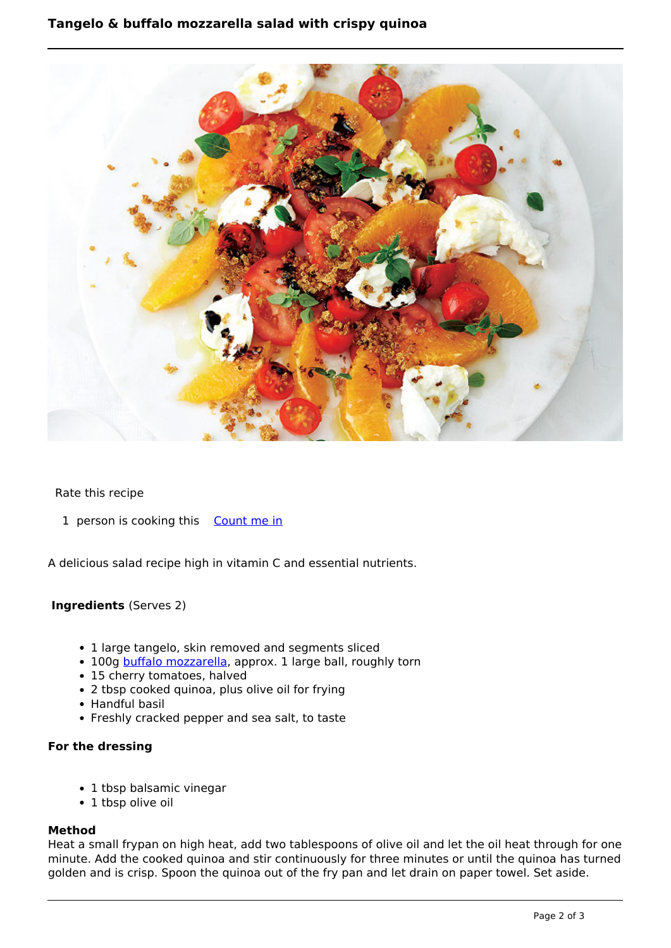## **Tangelo & buffalo mozzarella salad with crispy quinoa**



#### Rate this recipe

1 person is cooking this [Count me in](https://www.naturalhealthmag.com.au/flag/flag/favorites/1257?destination=printpdf%2F1257&token=cda3f8dfadff55e3603284cd8a4750c4)

A delicious salad recipe high in vitamin C and essential nutrients.

### **Ingredients** (Serves 2)

- 1 large tangelo, skin removed and segments sliced
- 100g [buffalo mozzarella,](http://www.naturalhealthmag.com.au/nourish/buffalo-mozzarella-capsicum-and-lentil-salad) approx. 1 large ball, roughly torn
- 15 cherry tomatoes, halved
- 2 tbsp cooked quinoa, plus olive oil for frying
- Handful basil
- Freshly cracked pepper and sea salt, to taste

#### **For the dressing**

- 1 tbsp balsamic vinegar
- 1 tbsp olive oil

#### **Method**

Heat a small frypan on high heat, add two tablespoons of olive oil and let the oil heat through for one minute. Add the cooked quinoa and stir continuously for three minutes or until the quinoa has turned golden and is crisp. Spoon the quinoa out of the fry pan and let drain on paper towel. Set aside.